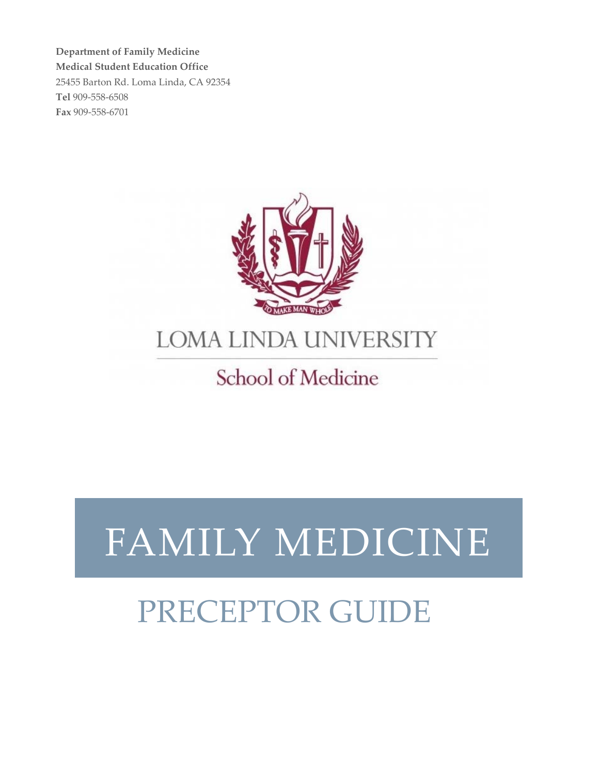**Department of Family Medicine Medical Student Education Office** 25455 Barton Rd. Loma Linda, CA 92354 **Tel** 909‐558‐6508 **Fax** 909‐558‐6701



## **LOMA LINDA UNIVERSITY**

## School of Medicine

# FAMILY MEDICINE

## PRECEPTOR GUIDE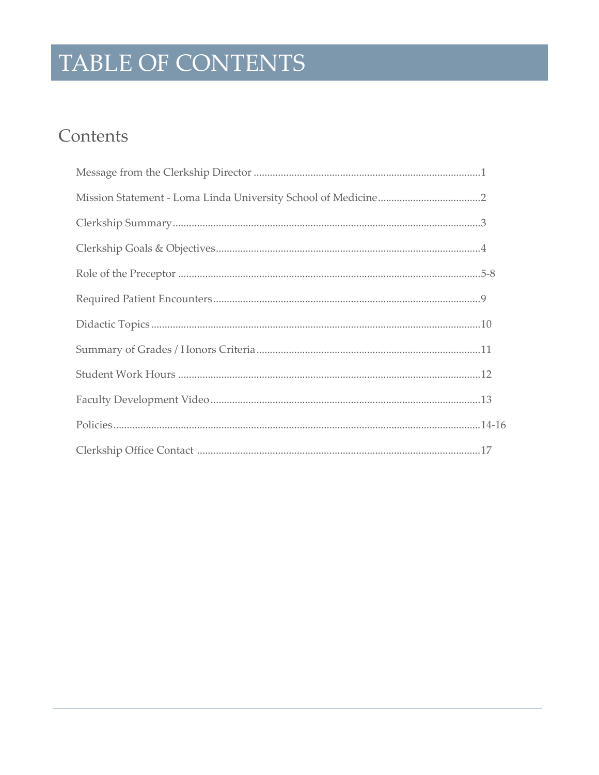## TABLE OF CONTENTS

### Contents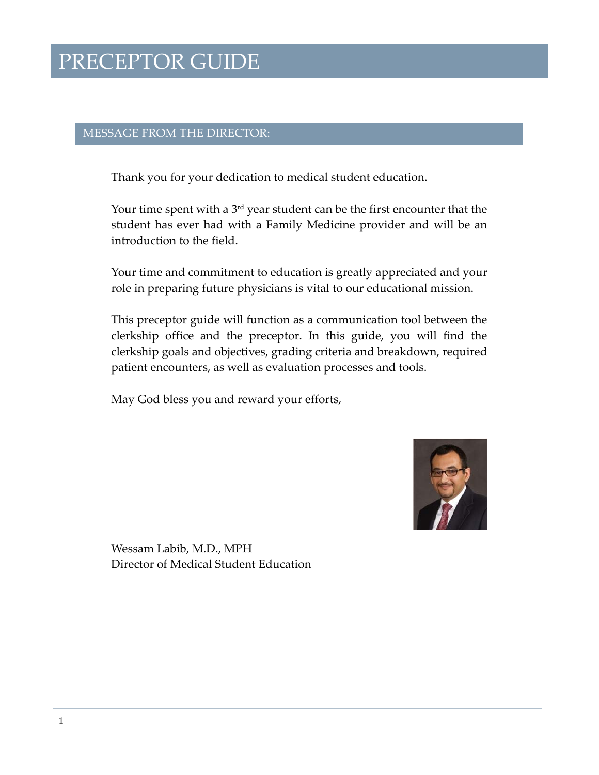### MESSAGE FROM THE DIRECTOR:

Thank you for your dedication to medical student education.

Your time spent with a  $3<sup>rd</sup>$  year student can be the first encounter that the student has ever had with a Family Medicine provider and will be an introduction to the field.

Your time and commitment to education is greatly appreciated and your role in preparing future physicians is vital to our educational mission.

This preceptor guide will function as a communication tool between the clerkship office and the preceptor. In this guide, you will find the clerkship goals and objectives, grading criteria and breakdown, required patient encounters, as well as evaluation processes and tools.

May God bless you and reward your efforts,



Wessam Labib, M.D., MPH Director of Medical Student Education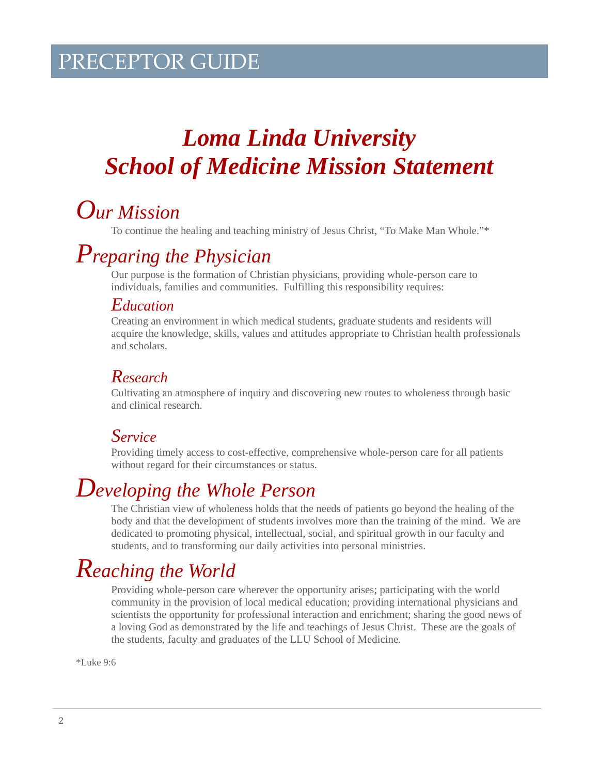## *Loma Linda University School of Medicine Mission Statement*

## *Our Mission*

To continue the healing and teaching ministry of Jesus Christ, "To Make Man Whole."\*

## *Preparing the Physician*

Our purpose is the formation of Christian physicians, providing whole-person care to individuals, families and communities. Fulfilling this responsibility requires:

### *Education*

Creating an environment in which medical students, graduate students and residents will acquire the knowledge, skills, values and attitudes appropriate to Christian health professionals and scholars.

### *Research*

Cultivating an atmosphere of inquiry and discovering new routes to wholeness through basic and clinical research.

### *Service*

Providing timely access to cost-effective, comprehensive whole-person care for all patients without regard for their circumstances or status.

## *Developing the Whole Person*

The Christian view of wholeness holds that the needs of patients go beyond the healing of the body and that the development of students involves more than the training of the mind. We are dedicated to promoting physical, intellectual, social, and spiritual growth in our faculty and students, and to transforming our daily activities into personal ministries.

## *Reaching the World*

Providing whole-person care wherever the opportunity arises; participating with the world community in the provision of local medical education; providing international physicians and scientists the opportunity for professional interaction and enrichment; sharing the good news of a loving God as demonstrated by the life and teachings of Jesus Christ. These are the goals of the students, faculty and graduates of the LLU School of Medicine.

\*Luke 9:6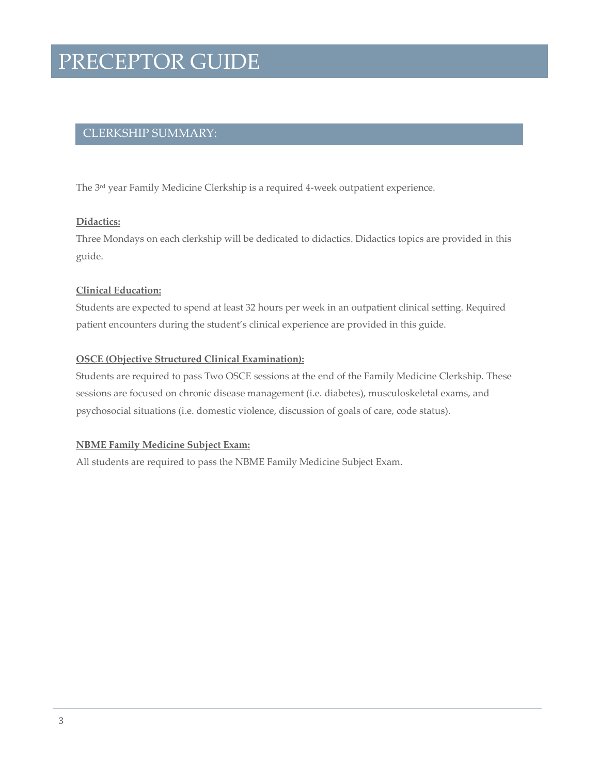### CLERKSHIP SUMMARY:

The 3<sup>rd</sup> year Family Medicine Clerkship is a required 4-week outpatient experience.

#### **Didactics:**

Three Mondays on each clerkship will be dedicated to didactics. Didactics topics are provided in this guide.

### **Clinical Education:**

Students are expected to spend at least 32 hours per week in an outpatient clinical setting. Required patient encounters during the student's clinical experience are provided in this guide.

#### **OSCE (Objective Structured Clinical Examination):**

Students are required to pass Two OSCE sessions at the end of the Family Medicine Clerkship. These sessions are focused on chronic disease management (i.e. diabetes), musculoskeletal exams, and psychosocial situations (i.e. domestic violence, discussion of goals of care, code status).

#### **NBME Family Medicine Subject Exam:**

All students are required to pass the NBME Family Medicine Subject Exam.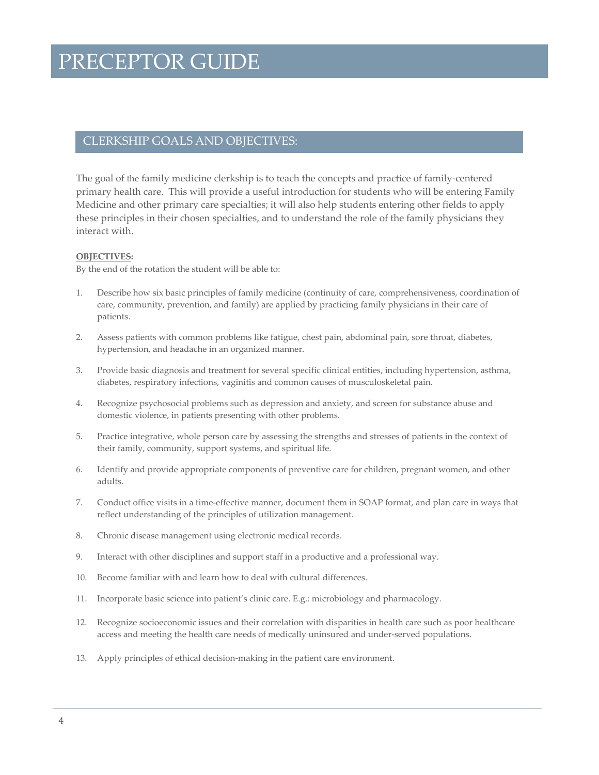### CLERKSHIP GOALS AND OBJECTIVES:

The goal of the family medicine clerkship is to teach the concepts and practice of family-centered primary health care. This will provide a useful introduction for students who will be entering Family Medicine and other primary care specialties; it will also help students entering other fields to apply these principles in their chosen specialties, and to understand the role of the family physicians they interact with.

#### **OBJECTIVES:**

By the end of the rotation the student will be able to:

- 1. Describe how six basic principles of family medicine (continuity of care, comprehensiveness, coordination of care, community, prevention, and family) are applied by practicing family physicians in their care of patients.
- 2. Assess patients with common problems like fatigue, chest pain, abdominal pain, sore throat, diabetes, hypertension, and headache in an organized manner.
- 3. Provide basic diagnosis and treatment for several specific clinical entities, including hypertension, asthma, diabetes, respiratory infections, vaginitis and common causes of musculoskeletal pain.
- 4. Recognize psychosocial problems such as depression and anxiety, and screen for substance abuse and domestic violence, in patients presenting with other problems.
- 5. Practice integrative, whole person care by assessing the strengths and stresses of patients in the context of their family, community, support systems, and spiritual life.
- 6. Identify and provide appropriate components of preventive care for children, pregnant women, and other adults.
- 7. Conduct office visits in a time‐effective manner, document them in SOAP format, and plan care in ways that reflect understanding of the principles of utilization management.
- 8. Chronic disease management using electronic medical records.
- 9. Interact with other disciplines and support staff in a productive and a professional way.
- 10. Become familiar with and learn how to deal with cultural differences.
- 11. Incorporate basic science into patient's clinic care. E.g.: microbiology and pharmacology.
- 12. Recognize socioeconomic issues and their correlation with disparities in health care such as poor healthcare access and meeting the health care needs of medically uninsured and under‐served populations.
- 13. Apply principles of ethical decision-making in the patient care environment.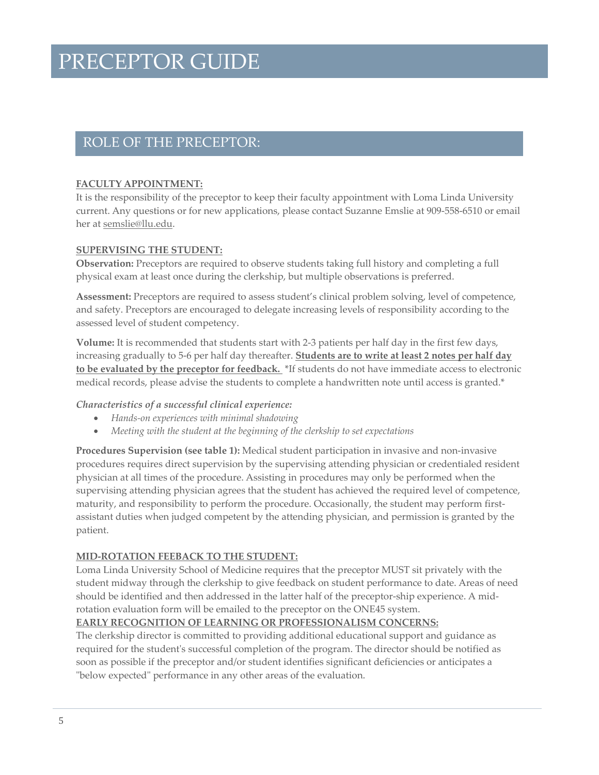### ROLE OF THE PRECEPTOR:

### **FACULTY APPOINTMENT:**

It is the responsibility of the preceptor to keep their faculty appointment with Loma Linda University current. Any questions or for new applications, please contact Suzanne Emslie at 909‐558‐6510 or email her at semslie@llu.edu.

### **SUPERVISING THE STUDENT:**

**Observation:** Preceptors are required to observe students taking full history and completing a full physical exam at least once during the clerkship, but multiple observations is preferred.

**Assessment:** Preceptors are required to assess student's clinical problem solving, level of competence, and safety. Preceptors are encouraged to delegate increasing levels of responsibility according to the assessed level of student competency.

**Volume:** It is recommended that students start with 2‐3 patients per half day in the first few days, increasing gradually to 5‐6 per half day thereafter. **Students are to write at least 2 notes per half day to be evaluated by the preceptor for feedback.** \*If students do not have immediate access to electronic medical records, please advise the students to complete a handwritten note until access is granted.\*

### *Characteristics of a successful clinical experience:*

- *Hands‐on experiences with minimal shadowing*
- *Meeting with the student at the beginning of the clerkship to set expectations*

**Procedures Supervision (see table 1):** Medical student participation in invasive and non‐invasive procedures requires direct supervision by the supervising attending physician or credentialed resident physician at all times of the procedure. Assisting in procedures may only be performed when the supervising attending physician agrees that the student has achieved the required level of competence, maturity, and responsibility to perform the procedure. Occasionally, the student may perform firstassistant duties when judged competent by the attending physician, and permission is granted by the patient.

### **MID‐ROTATION FEEBACK TO THE STUDENT:**

Loma Linda University School of Medicine requires that the preceptor MUST sit privately with the student midway through the clerkship to give feedback on student performance to date. Areas of need should be identified and then addressed in the latter half of the preceptor-ship experience. A midrotation evaluation form will be emailed to the preceptor on the ONE45 system.

### **EARLY RECOGNITION OF LEARNING OR PROFESSIONALISM CONCERNS:**

The clerkship director is committed to providing additional educational support and guidance as required for the student's successful completion of the program. The director should be notified as soon as possible if the preceptor and/or student identifies significant deficiencies or anticipates a "below expected" performance in any other areas of the evaluation.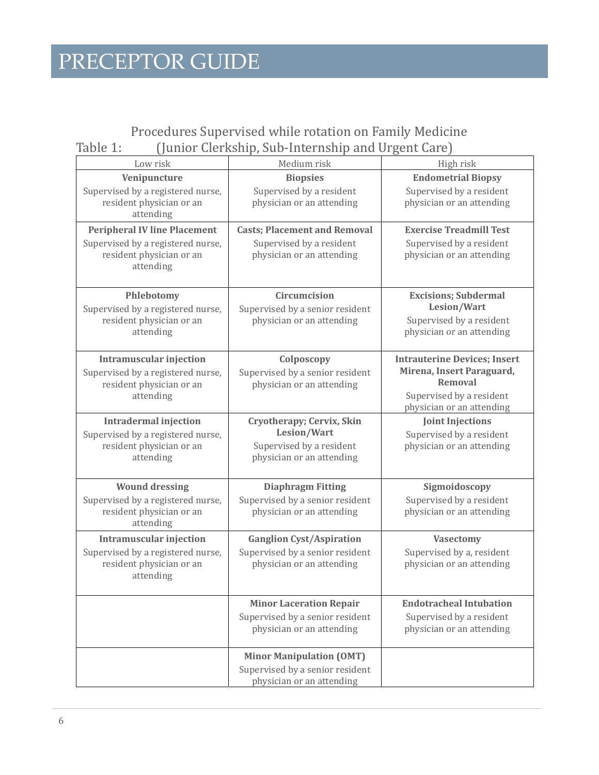### Procedures Supervised while rotation on Family Medicine Table 1: (Junior Clerkship, Sub-Internship and Urgent Care)

| Low risk                                                                   | Medium risk                                                                                                    | High risk                                              |  |
|----------------------------------------------------------------------------|----------------------------------------------------------------------------------------------------------------|--------------------------------------------------------|--|
| Venipuncture                                                               | <b>Biopsies</b>                                                                                                | <b>Endometrial Biopsy</b>                              |  |
| Supervised by a registered nurse,<br>resident physician or an<br>attending | Supervised by a resident<br>physician or an attending                                                          | Supervised by a resident<br>physician or an attending  |  |
| <b>Peripheral IV line Placement</b>                                        | <b>Casts; Placement and Removal</b>                                                                            | <b>Exercise Treadmill Test</b>                         |  |
| Supervised by a registered nurse,<br>resident physician or an<br>attending | Supervised by a resident<br>Supervised by a resident<br>physician or an attending<br>physician or an attending |                                                        |  |
| Phlebotomy                                                                 | Circumcision                                                                                                   | <b>Excisions; Subdermal</b>                            |  |
| Supervised by a registered nurse,                                          | Supervised by a senior resident                                                                                | Lesion/Wart                                            |  |
| resident physician or an                                                   | physician or an attending                                                                                      | Supervised by a resident                               |  |
| attending                                                                  |                                                                                                                | physician or an attending                              |  |
| <b>Intramuscular injection</b>                                             | Colposcopy                                                                                                     | <b>Intrauterine Devices; Insert</b>                    |  |
| Supervised by a registered nurse,                                          | Supervised by a senior resident                                                                                | Mirena, Insert Paraguard,                              |  |
| resident physician or an                                                   | physician or an attending                                                                                      | <b>Removal</b>                                         |  |
| attending                                                                  |                                                                                                                | Supervised by a resident<br>physician or an attending  |  |
| <b>Intradermal injection</b>                                               | Cryotherapy; Cervix, Skin                                                                                      | <b>Joint Injections</b>                                |  |
| Supervised by a registered nurse,                                          | Lesion/Wart                                                                                                    | Supervised by a resident                               |  |
| resident physician or an                                                   | Supervised by a resident                                                                                       | physician or an attending                              |  |
| attending                                                                  | physician or an attending                                                                                      |                                                        |  |
| <b>Wound dressing</b>                                                      | <b>Diaphragm Fitting</b>                                                                                       | Sigmoidoscopy                                          |  |
| Supervised by a registered nurse,                                          | Supervised by a senior resident                                                                                | Supervised by a resident                               |  |
| resident physician or an                                                   | physician or an attending                                                                                      | physician or an attending                              |  |
| attending                                                                  |                                                                                                                |                                                        |  |
| <b>Intramuscular injection</b>                                             | <b>Ganglion Cyst/Aspiration</b>                                                                                | <b>Vasectomy</b>                                       |  |
| Supervised by a registered nurse,<br>resident physician or an              | Supervised by a senior resident<br>physician or an attending                                                   | Supervised by a, resident<br>physician or an attending |  |
| attending                                                                  |                                                                                                                |                                                        |  |
|                                                                            |                                                                                                                |                                                        |  |
|                                                                            | <b>Minor Laceration Repair</b>                                                                                 | <b>Endotracheal Intubation</b>                         |  |
|                                                                            | Supervised by a senior resident                                                                                | Supervised by a resident                               |  |
|                                                                            | physician or an attending                                                                                      | physician or an attending                              |  |
|                                                                            | <b>Minor Manipulation (OMT)</b>                                                                                |                                                        |  |
|                                                                            | Supervised by a senior resident                                                                                |                                                        |  |
|                                                                            | physician or an attending                                                                                      |                                                        |  |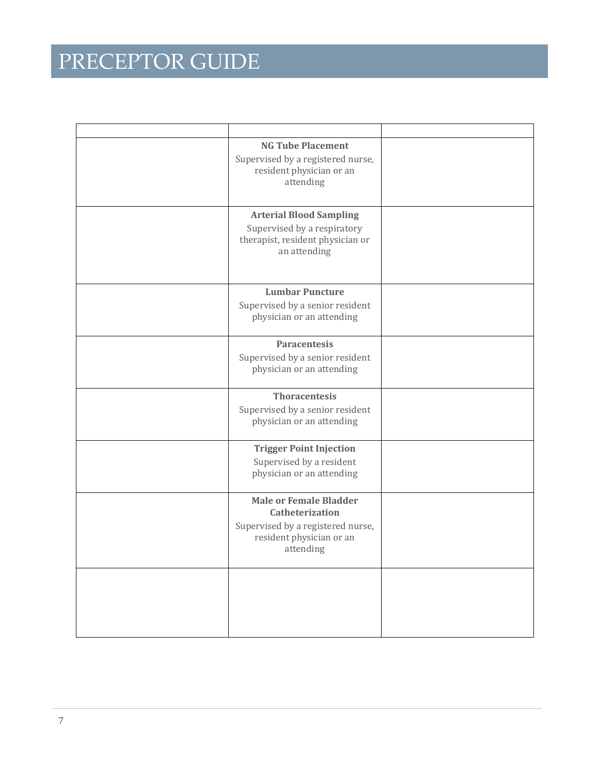| <b>NG Tube Placement</b><br>Supervised by a registered nurse,<br>resident physician or an<br>attending                         |  |
|--------------------------------------------------------------------------------------------------------------------------------|--|
| <b>Arterial Blood Sampling</b><br>Supervised by a respiratory<br>therapist, resident physician or<br>an attending              |  |
| <b>Lumbar Puncture</b><br>Supervised by a senior resident<br>physician or an attending                                         |  |
| <b>Paracentesis</b><br>Supervised by a senior resident<br>physician or an attending                                            |  |
| <b>Thoracentesis</b><br>Supervised by a senior resident<br>physician or an attending                                           |  |
| <b>Trigger Point Injection</b><br>Supervised by a resident<br>physician or an attending                                        |  |
| <b>Male or Female Bladder</b><br>Catheterization<br>Supervised by a registered nurse,<br>resident physician or an<br>attending |  |
|                                                                                                                                |  |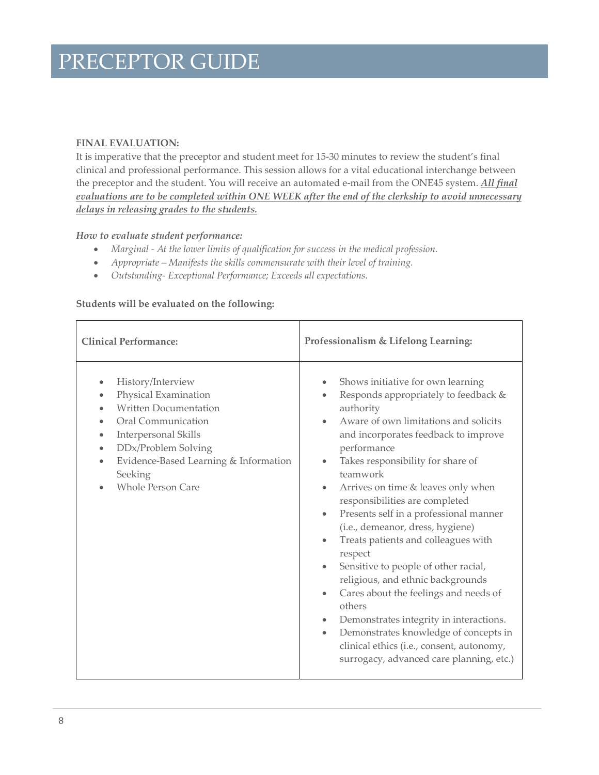### **FINAL EVALUATION:**

It is imperative that the preceptor and student meet for 15‐30 minutes to review the student's final clinical and professional performance. This session allows for a vital educational interchange between the preceptor and the student. You will receive an automated e‐mail from the ONE45 system. *All final evaluations are to be completed within ONE WEEK after the end of the clerkship to avoid unnecessary delays in releasing grades to the students.*

### *How to evaluate student performance:*

- *Marginal ‐ At the lower limits of qualification for success in the medical profession.*
- *Appropriate – Manifests the skills commensurate with their level of training.*
- *Outstanding‐ Exceptional Performance; Exceeds all expectations.*

### **Students will be evaluated on the following:**

| <b>Clinical Performance:</b>                                                                                                                                                                                                                             | Professionalism & Lifelong Learning:                                                                                                                                                                                                                                                                                                                                                                                                                                                                                                                                                                                                                                                                                                                                                                                                                                                                        |  |
|----------------------------------------------------------------------------------------------------------------------------------------------------------------------------------------------------------------------------------------------------------|-------------------------------------------------------------------------------------------------------------------------------------------------------------------------------------------------------------------------------------------------------------------------------------------------------------------------------------------------------------------------------------------------------------------------------------------------------------------------------------------------------------------------------------------------------------------------------------------------------------------------------------------------------------------------------------------------------------------------------------------------------------------------------------------------------------------------------------------------------------------------------------------------------------|--|
| History/Interview<br>$\bullet$<br>Physical Examination<br><b>Written Documentation</b><br>Oral Communication<br>Interpersonal Skills<br>DDx/Problem Solving<br>Evidence-Based Learning & Information<br>$\bullet$<br>Seeking<br><b>Whole Person Care</b> | Shows initiative for own learning<br>$\bullet$<br>Responds appropriately to feedback &<br>$\bullet$<br>authority<br>Aware of own limitations and solicits<br>$\bullet$<br>and incorporates feedback to improve<br>performance<br>Takes responsibility for share of<br>$\bullet$<br>teamwork<br>Arrives on time & leaves only when<br>$\bullet$<br>responsibilities are completed<br>Presents self in a professional manner<br>$\bullet$<br>(i.e., demeanor, dress, hygiene)<br>Treats patients and colleagues with<br>$\bullet$<br>respect<br>Sensitive to people of other racial,<br>$\bullet$<br>religious, and ethnic backgrounds<br>Cares about the feelings and needs of<br>$\bullet$<br>others<br>Demonstrates integrity in interactions.<br>$\bullet$<br>Demonstrates knowledge of concepts in<br>$\bullet$<br>clinical ethics (i.e., consent, autonomy,<br>surrogacy, advanced care planning, etc.) |  |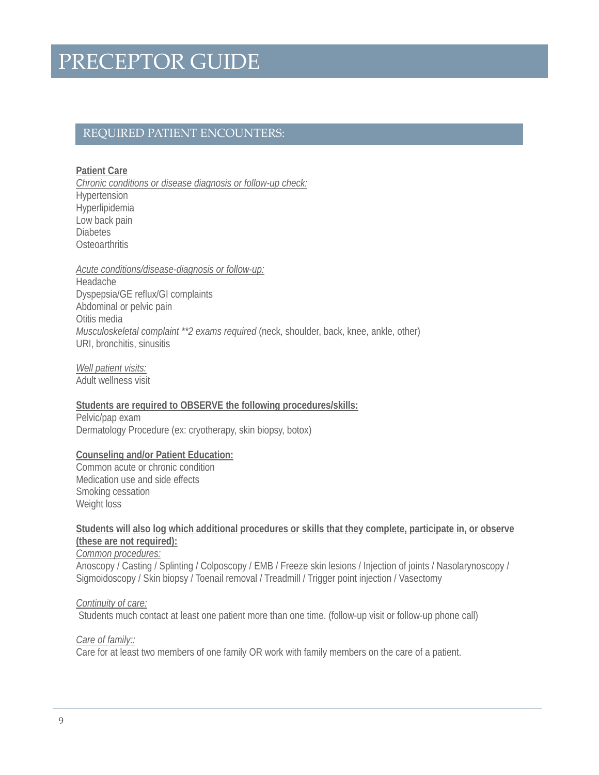### REQUIRED PATIENT ENCOUNTERS:

**Patient Care**  *Chronic conditions or disease diagnosis or follow-up check:*  Hypertension Hyperlipidemia Low back pain

**Diabetes Osteoarthritis** 

#### *Acute conditions/disease-diagnosis or follow-up:*

Headache Dyspepsia/GE reflux/GI complaints Abdominal or pelvic pain Otitis media *Musculoskeletal complaint \*\*2 exams required* (neck, shoulder, back, knee, ankle, other) URI, bronchitis, sinusitis

*Well patient visits:*  Adult wellness visit

**Students are required to OBSERVE the following procedures/skills:**  Pelvic/pap exam

Dermatology Procedure (ex: cryotherapy, skin biopsy, botox)

### **Counseling and/or Patient Education:**

Common acute or chronic condition Medication use and side effects Smoking cessation Weight loss

### **Students will also log which additional procedures or skills that they complete, participate in, or observe (these are not required):**

*Common procedures:*

Anoscopy / Casting / Splinting / Colposcopy / EMB / Freeze skin lesions / Injection of joints / Nasolarynoscopy / Sigmoidoscopy / Skin biopsy / Toenail removal / Treadmill / Trigger point injection / Vasectomy

*Continuity of care:* 

Students much contact at least one patient more than one time. (follow-up visit or follow-up phone call)

*Care of family::* 

Care for at least two members of one family OR work with family members on the care of a patient.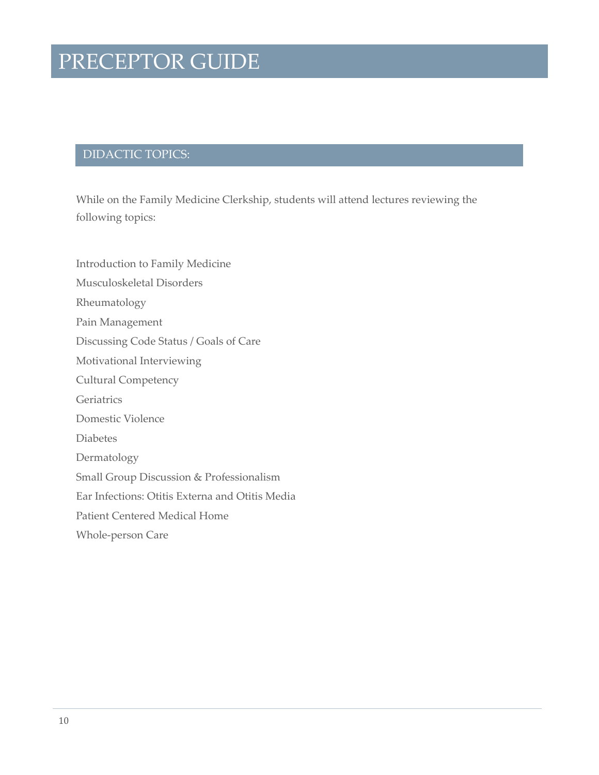### DIDACTIC TOPICS:

While on the Family Medicine Clerkship, students will attend lectures reviewing the following topics:

Introduction to Family Medicine Musculoskeletal Disorders Rheumatology Pain Management Discussing Code Status / Goals of Care Motivational Interviewing Cultural Competency **Geriatrics** Domestic Violence Diabetes Dermatology Small Group Discussion & Professionalism Ear Infections: Otitis Externa and Otitis Media Patient Centered Medical Home Whole‐person Care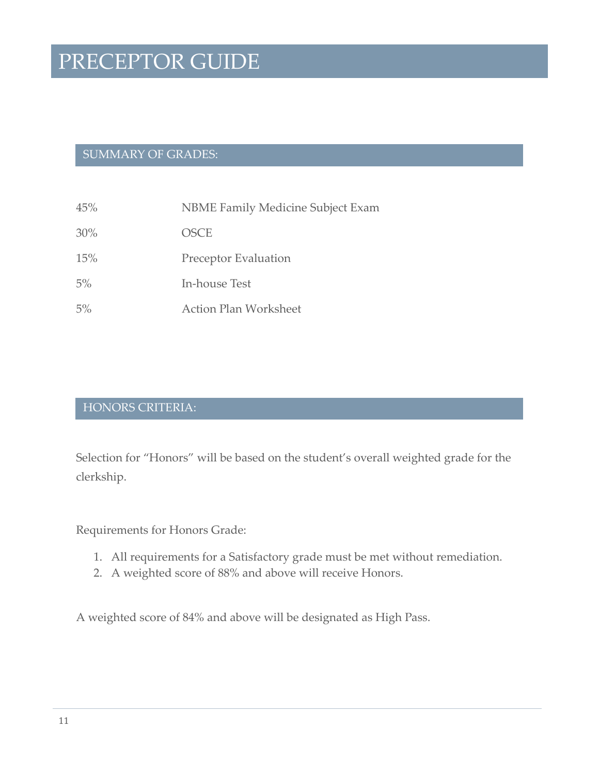### SUMMARY OF GRADES:

- 45% NBME Family Medicine Subject Exam
- 30% OSCE
- 15% Preceptor Evaluation
- 5% In‐house Test
- 5% Action Plan Worksheet

### HONORS CRITERIA:

Selection for "Honors" will be based on the student's overall weighted grade for the clerkship.

Requirements for Honors Grade:

- 1. All requirements for a Satisfactory grade must be met without remediation.
- 2. A weighted score of 88% and above will receive Honors.

A weighted score of 84% and above will be designated as High Pass.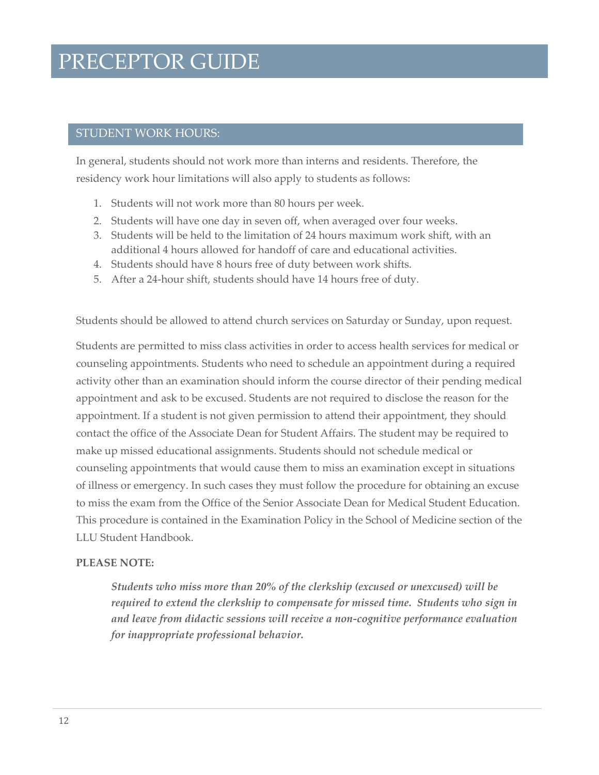### STUDENT WORK HOURS:

In general, students should not work more than interns and residents. Therefore, the residency work hour limitations will also apply to students as follows:

- 1. Students will not work more than 80 hours per week.
- 2. Students will have one day in seven off, when averaged over four weeks.
- 3. Students will be held to the limitation of 24 hours maximum work shift, with an additional 4 hours allowed for handoff of care and educational activities.
- 4. Students should have 8 hours free of duty between work shifts.
- 5. After a 24‐hour shift, students should have 14 hours free of duty.

Students should be allowed to attend church services on Saturday or Sunday, upon request.

Students are permitted to miss class activities in order to access health services for medical or counseling appointments. Students who need to schedule an appointment during a required activity other than an examination should inform the course director of their pending medical appointment and ask to be excused. Students are not required to disclose the reason for the appointment. If a student is not given permission to attend their appointment, they should contact the office of the Associate Dean for Student Affairs. The student may be required to make up missed educational assignments. Students should not schedule medical or counseling appointments that would cause them to miss an examination except in situations of illness or emergency. In such cases they must follow the procedure for obtaining an excuse to miss the exam from the Office of the Senior Associate Dean for Medical Student Education. This procedure is contained in the Examination Policy in the School of Medicine section of the LLU Student Handbook.

### **PLEASE NOTE:**

*Students who miss more than 20% of the clerkship (excused or unexcused) will be required to extend the clerkship to compensate for missed time. Students who sign in and leave from didactic sessions will receive a non‐cognitive performance evaluation for inappropriate professional behavior.*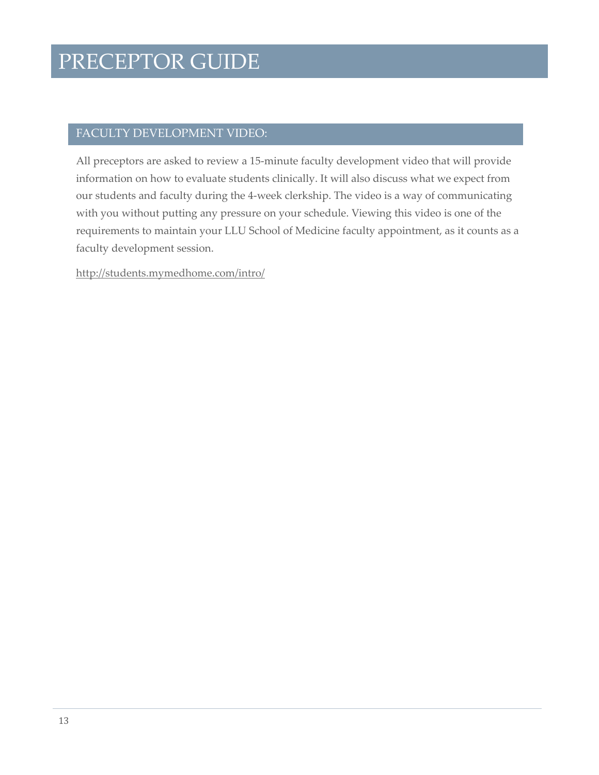### FACULTY DEVELOPMENT VIDEO:

All preceptors are asked to review a 15‐minute faculty development video that will provide information on how to evaluate students clinically. It will also discuss what we expect from our students and faculty during the 4‐week clerkship. The video is a way of communicating with you without putting any pressure on your schedule. Viewing this video is one of the requirements to maintain your LLU School of Medicine faculty appointment, as it counts as a faculty development session.

http://students.mymedhome.com/intro/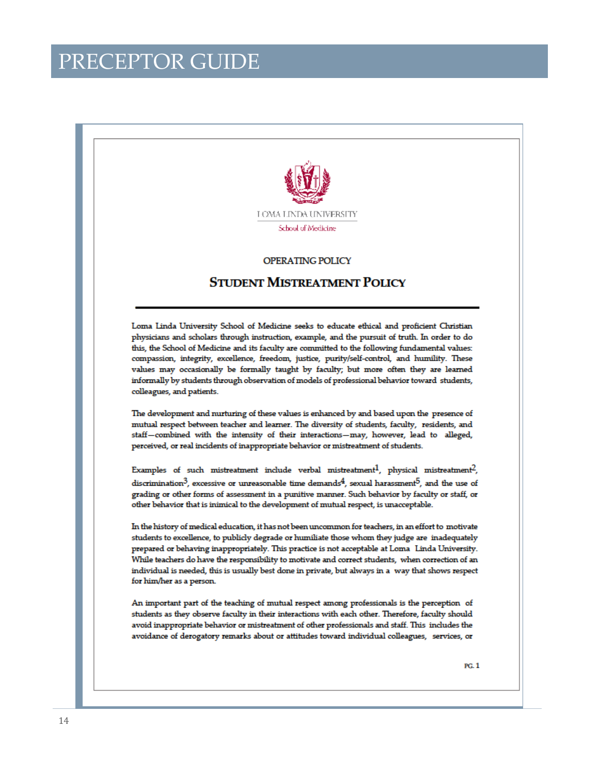

#### **OPERATING POLICY**

### **STUDENT MISTREATMENT POLICY**

Loma Linda University School of Medicine seeks to educate ethical and proficient Christian physicians and scholars through instruction, example, and the pursuit of truth. In order to do this, the School of Medicine and its faculty are committed to the following fundamental values: compassion, integrity, excellence, freedom, justice, purity/self-control, and humility. These values may occasionally be formally taught by faculty; but more often they are learned informally by students through observation of models of professional behavior toward students, colleagues, and patients.

The development and nurturing of these values is enhanced by and based upon the presence of mutual respect between teacher and learner. The diversity of students, faculty, residents, and staff-combined with the intensity of their interactions-may, however, lead to alleged, perceived, or real incidents of inappropriate behavior or mistreatment of students.

Examples of such mistreatment include verbal mistreatment<sup>1</sup>, physical mistreatment<sup>2</sup>, discrimination<sup>3</sup>, excessive or unreasonable time demands<sup>4</sup>, sexual harassment<sup>5</sup>, and the use of grading or other forms of assessment in a punitive manner. Such behavior by faculty or staff, or other behavior that is inimical to the development of mutual respect, is unacceptable.

In the history of medical education, it has not been uncommon for teachers, in an effort to motivate students to excellence, to publicly degrade or humiliate those whom they judge are inadequately prepared or behaving inappropriately. This practice is not acceptable at Loma Linda University. While teachers do have the responsibility to motivate and correct students, when correction of an individual is needed, this is usually best done in private, but always in a way that shows respect for him/her as a person.

An important part of the teaching of mutual respect among professionals is the perception of students as they observe faculty in their interactions with each other. Therefore, faculty should avoid inappropriate behavior or mistreatment of other professionals and staff. This includes the avoidance of derogatory remarks about or attitudes toward individual colleagues, services, or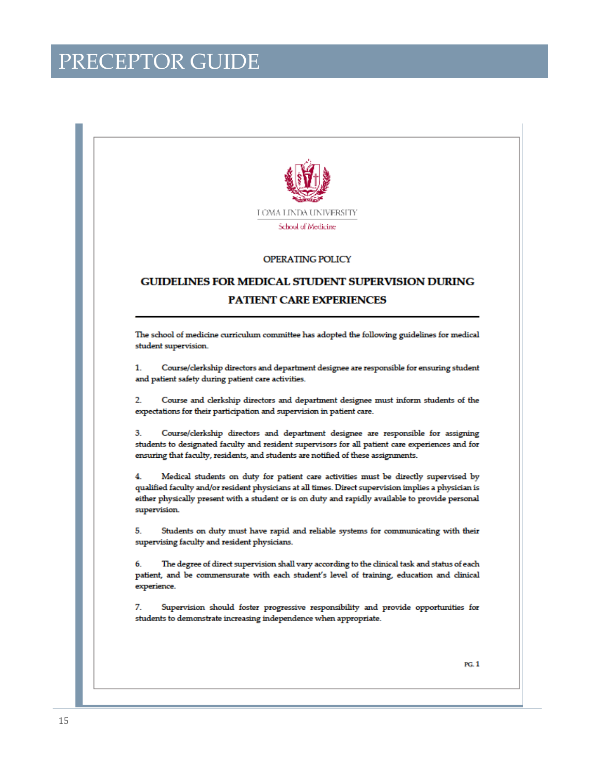

#### **OPERATING POLICY**

### **GUIDELINES FOR MEDICAL STUDENT SUPERVISION DURING PATIENT CARE EXPERIENCES**

The school of medicine curriculum committee has adopted the following guidelines for medical student supervision.

 $1.$ Course/clerkship directors and department designee are responsible for ensuring student and patient safety during patient care activities.

Course and clerkship directors and department designee must inform students of the  $\overline{2}$ expectations for their participation and supervision in patient care.

3. Course/clerkship directors and department designee are responsible for assigning students to designated faculty and resident supervisors for all patient care experiences and for ensuring that faculty, residents, and students are notified of these assignments.

4. Medical students on duty for patient care activities must be directly supervised by qualified faculty and/or resident physicians at all times. Direct supervision implies a physician is either physically present with a student or is on duty and rapidly available to provide personal supervision.

Students on duty must have rapid and reliable systems for communicating with their 5. supervising faculty and resident physicians.

The degree of direct supervision shall vary according to the clinical task and status of each 6. patient, and be commensurate with each student's level of training, education and clinical experience.

7. Supervision should foster progressive responsibility and provide opportunities for students to demonstrate increasing independence when appropriate.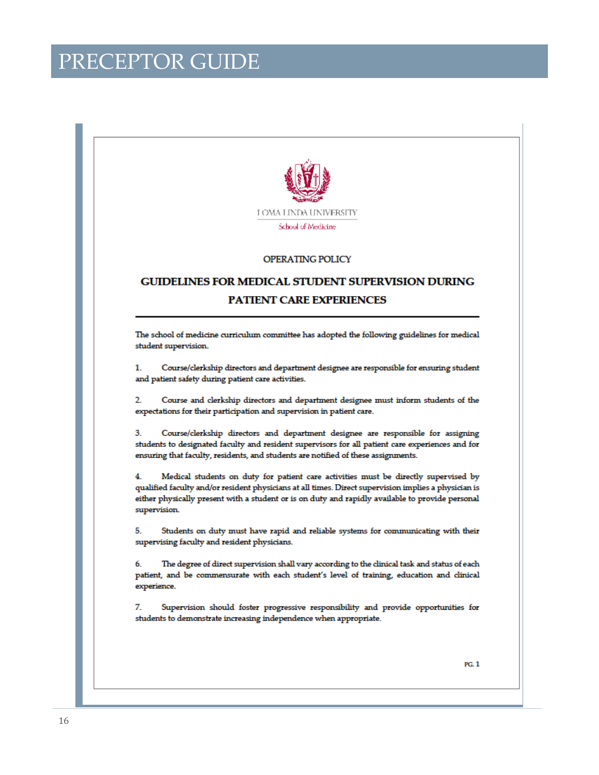

#### **OPERATING POLICY**

### **GUIDELINES FOR MEDICAL STUDENT SUPERVISION DURING PATIENT CARE EXPERIENCES**

The school of medicine curriculum committee has adopted the following guidelines for medical student supervision.

 $1.$ Course/clerkship directors and department designee are responsible for ensuring student and patient safety during patient care activities.

Course and clerkship directors and department designee must inform students of the  $\overline{2}$ expectations for their participation and supervision in patient care.

3. Course/clerkship directors and department designee are responsible for assigning students to designated faculty and resident supervisors for all patient care experiences and for ensuring that faculty, residents, and students are notified of these assignments.

4. Medical students on duty for patient care activities must be directly supervised by qualified faculty and/or resident physicians at all times. Direct supervision implies a physician is either physically present with a student or is on duty and rapidly available to provide personal supervision.

Students on duty must have rapid and reliable systems for communicating with their 5. supervising faculty and resident physicians.

The degree of direct supervision shall vary according to the clinical task and status of each 6. patient, and be commensurate with each student's level of training, education and clinical experience.

7. Supervision should foster progressive responsibility and provide opportunities for students to demonstrate increasing independence when appropriate.